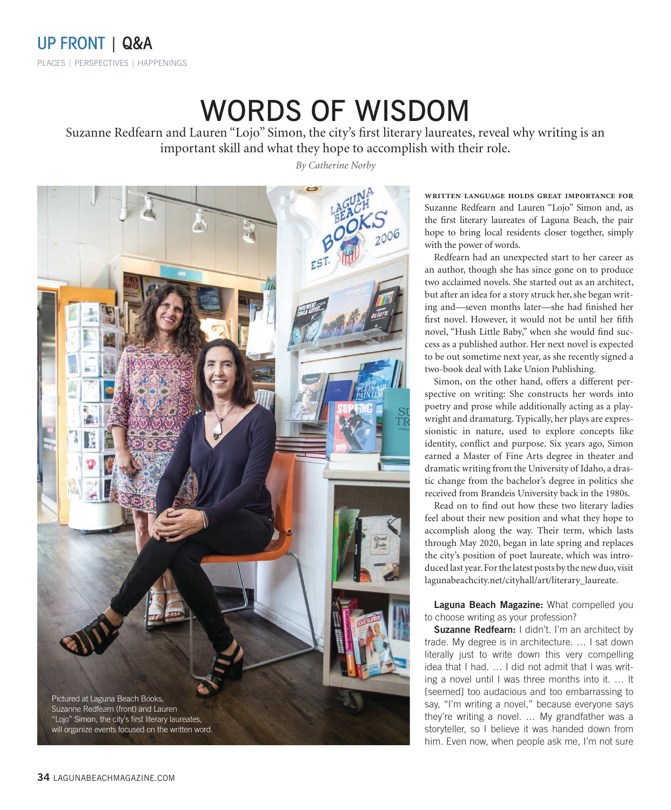## WORDS OF WISDOM

Suzanne Redfearn and Lauren "Lojo" Simon, the city's first literary laureates, reveal why writing is an important skill and what they hope to accomplish with their role.

*By Catherine Norby*



**written language holds great importance for**  Suzanne Redfearn and Lauren "Lojo" Simon and, as the first literary laureates of Laguna Beach, the pair hope to bring local residents closer together, simply with the power of words.

Redfearn had an unexpected start to her career as an author, though she has since gone on to produce two acclaimed novels. She started out as an architect, but after an idea for a story struck her, she began writing and—seven months later—she had finished her first novel. However, it would not be until her fifth novel, "Hush Little Baby," when she would find success as a published author. Her next novel is expected to be out sometime next year, as she recently signed a two-book deal with Lake Union Publishing.

Simon, on the other hand, offers a different perspective on writing: She constructs her words into poetry and prose while additionally acting as a playwright and dramaturg. Typically, her plays are expressionistic in nature, used to explore concepts like identity, conflict and purpose. Six years ago, Simon earned a Master of Fine Arts degree in theater and dramatic writing from the University of Idaho, a drastic change from the bachelor's degree in politics she received from Brandeis University back in the 1980s.

Read on to find out how these two literary ladies feel about their new position and what they hope to accomplish along the way. Their term, which lasts through May 2020, began in late spring and replaces the city's position of poet laureate, which was introduced last year. For the latest posts by the new duo, visit lagunabeachcity.net/cityhall/art/literary\_laureate.

**Laguna Beach Magazine:** What compelled you to choose writing as your profession?

**Suzanne Redfearn:** I didn't. I'm an architect by trade. My degree is in architecture. … I sat down literally just to write down this very compelling idea that I had. … I did not admit that I was writing a novel until I was three months into it. … It [seemed] too audacious and too embarrassing to say, "I'm writing a novel," because everyone says they're writing a novel. … My grandfather was a storyteller, so I believe it was handed down from him. Even now, when people ask me, I'm not sure